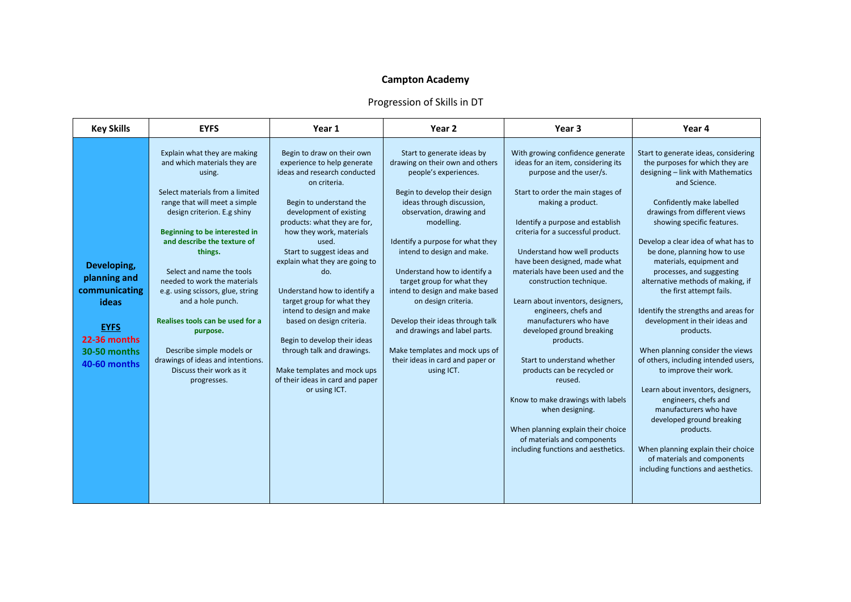## **Campton Academy**

## Progression of Skills in DT

| <b>Key Skills</b>                                                                                                    | <b>EYFS</b>                                                                                                                                                                                                                                                                                                                                                                                                                                                                                                                              | Year 1                                                                                                                                                                                                                                                                                                                                                                                                                                                                                                                                                                                | Year 2                                                                                                                                                                                                                                                                                                                                                                                                                                                                                                                                            | Year 3                                                                                                                                                                                                                                                                                                                                                                                                                                                                                                                                                                                                                                                                                                                                              | Year 4                                                                                                                                                                                                                                                                                                                                                                                                                                                                                                                                                                                                                                                                                                                                                                                                                                                              |
|----------------------------------------------------------------------------------------------------------------------|------------------------------------------------------------------------------------------------------------------------------------------------------------------------------------------------------------------------------------------------------------------------------------------------------------------------------------------------------------------------------------------------------------------------------------------------------------------------------------------------------------------------------------------|---------------------------------------------------------------------------------------------------------------------------------------------------------------------------------------------------------------------------------------------------------------------------------------------------------------------------------------------------------------------------------------------------------------------------------------------------------------------------------------------------------------------------------------------------------------------------------------|---------------------------------------------------------------------------------------------------------------------------------------------------------------------------------------------------------------------------------------------------------------------------------------------------------------------------------------------------------------------------------------------------------------------------------------------------------------------------------------------------------------------------------------------------|-----------------------------------------------------------------------------------------------------------------------------------------------------------------------------------------------------------------------------------------------------------------------------------------------------------------------------------------------------------------------------------------------------------------------------------------------------------------------------------------------------------------------------------------------------------------------------------------------------------------------------------------------------------------------------------------------------------------------------------------------------|---------------------------------------------------------------------------------------------------------------------------------------------------------------------------------------------------------------------------------------------------------------------------------------------------------------------------------------------------------------------------------------------------------------------------------------------------------------------------------------------------------------------------------------------------------------------------------------------------------------------------------------------------------------------------------------------------------------------------------------------------------------------------------------------------------------------------------------------------------------------|
| Developing,<br>planning and<br>communicating<br>ideas<br><b>EYFS</b><br>22-36 months<br>30-50 months<br>40-60 months | Explain what they are making<br>and which materials they are<br>using.<br>Select materials from a limited<br>range that will meet a simple<br>design criterion. E.g shiny<br>Beginning to be interested in<br>and describe the texture of<br>things.<br>Select and name the tools<br>needed to work the materials<br>e.g. using scissors, glue, string<br>and a hole punch.<br>Realises tools can be used for a<br>purpose.<br>Describe simple models or<br>drawings of ideas and intentions.<br>Discuss their work as it<br>progresses. | Begin to draw on their own<br>experience to help generate<br>ideas and research conducted<br>on criteria.<br>Begin to understand the<br>development of existing<br>products: what they are for,<br>how they work, materials<br>used.<br>Start to suggest ideas and<br>explain what they are going to<br>do.<br>Understand how to identify a<br>target group for what they<br>intend to design and make<br>based on design criteria.<br>Begin to develop their ideas<br>through talk and drawings.<br>Make templates and mock ups<br>of their ideas in card and paper<br>or using ICT. | Start to generate ideas by<br>drawing on their own and others<br>people's experiences.<br>Begin to develop their design<br>ideas through discussion,<br>observation, drawing and<br>modelling.<br>Identify a purpose for what they<br>intend to design and make.<br>Understand how to identify a<br>target group for what they<br>intend to design and make based<br>on design criteria.<br>Develop their ideas through talk<br>and drawings and label parts.<br>Make templates and mock ups of<br>their ideas in card and paper or<br>using ICT. | With growing confidence generate<br>ideas for an item, considering its<br>purpose and the user/s.<br>Start to order the main stages of<br>making a product.<br>Identify a purpose and establish<br>criteria for a successful product.<br>Understand how well products<br>have been designed, made what<br>materials have been used and the<br>construction technique.<br>Learn about inventors, designers,<br>engineers, chefs and<br>manufacturers who have<br>developed ground breaking<br>products.<br>Start to understand whether<br>products can be recycled or<br>reused.<br>Know to make drawings with labels<br>when designing.<br>When planning explain their choice<br>of materials and components<br>including functions and aesthetics. | Start to generate ideas, considering<br>the purposes for which they are<br>designing - link with Mathematics<br>and Science.<br>Confidently make labelled<br>drawings from different views<br>showing specific features.<br>Develop a clear idea of what has to<br>be done, planning how to use<br>materials, equipment and<br>processes, and suggesting<br>alternative methods of making, if<br>the first attempt fails.<br>Identify the strengths and areas for<br>development in their ideas and<br>products.<br>When planning consider the views<br>of others, including intended users,<br>to improve their work.<br>Learn about inventors, designers,<br>engineers, chefs and<br>manufacturers who have<br>developed ground breaking<br>products.<br>When planning explain their choice<br>of materials and components<br>including functions and aesthetics. |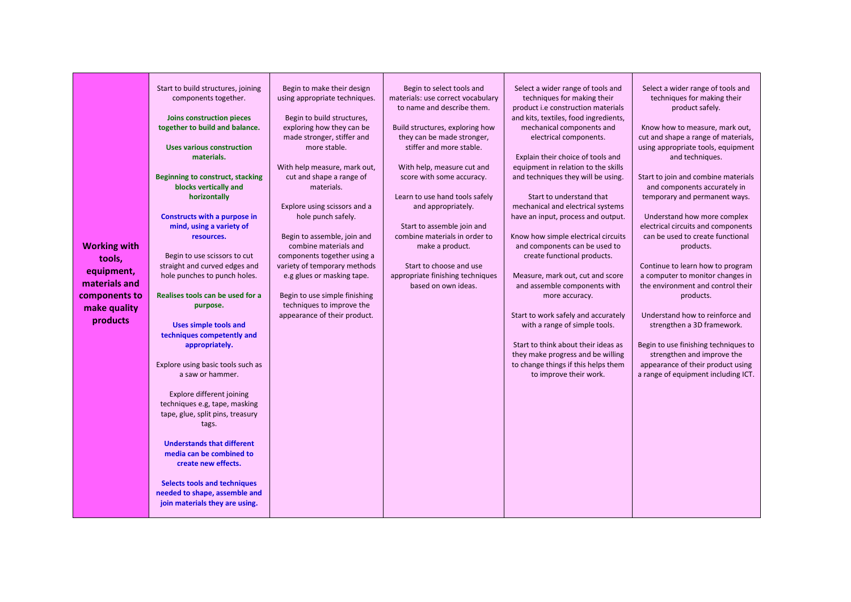| <b>Working with</b><br>tools,<br>equipment,<br>materials and<br>components to<br>make quality<br>products | Start to build structures, joining<br>components together.<br>Joins construction pieces<br>together to build and balance.<br><b>Uses various construction</b><br>materials.<br>Beginning to construct, stacking<br>blocks vertically and<br>horizontally<br>Constructs with a purpose in<br>mind, using a variety of<br>resources.<br>Begin to use scissors to cut<br>straight and curved edges and<br>hole punches to punch holes.<br><b>Realises tools can be used for a</b><br>purpose.<br><b>Uses simple tools and</b><br>techniques competently and<br>appropriately.<br>Explore using basic tools such as<br>a saw or hammer.<br>Explore different joining<br>techniques e.g, tape, masking<br>tape, glue, split pins, treasury<br>tags.<br><b>Understands that different</b><br>media can be combined to<br>create new effects.<br><b>Selects tools and techniques</b><br>needed to shape, assemble and<br>join materials they are using. | Begin to make their design<br>using appropriate techniques.<br>Begin to build structures,<br>exploring how they can be<br>made stronger, stiffer and<br>more stable.<br>With help measure, mark out,<br>cut and shape a range of<br>materials.<br>Explore using scissors and a<br>hole punch safely.<br>Begin to assemble, join and<br>combine materials and<br>components together using a<br>variety of temporary methods<br>e.g glues or masking tape.<br>Begin to use simple finishing<br>techniques to improve the<br>appearance of their product. | Begin to select tools and<br>materials: use correct vocabulary<br>to name and describe them.<br>Build structures, exploring how<br>they can be made stronger,<br>stiffer and more stable.<br>With help, measure cut and<br>score with some accuracy.<br>Learn to use hand tools safely<br>and appropriately.<br>Start to assemble join and<br>combine materials in order to<br>make a product.<br>Start to choose and use<br>appropriate finishing techniques<br>based on own ideas. | Select a wider range of tools and<br>techniques for making their<br>product i.e construction materials<br>and kits, textiles, food ingredients,<br>mechanical components and<br>electrical components.<br>Explain their choice of tools and<br>equipment in relation to the skills<br>and techniques they will be using.<br>Start to understand that<br>mechanical and electrical systems<br>have an input, process and output.<br>Know how simple electrical circuits<br>and components can be used to<br>create functional products.<br>Measure, mark out, cut and score<br>and assemble components with<br>more accuracy.<br>Start to work safely and accurately<br>with a range of simple tools.<br>Start to think about their ideas as<br>they make progress and be willing<br>to change things if this helps them<br>to improve their work. | Select a wider range of tools and<br>techniques for making their<br>product safely.<br>Know how to measure, mark out,<br>cut and shape a range of materials,<br>using appropriate tools, equipment<br>and techniques.<br>Start to join and combine materials<br>and components accurately in<br>temporary and permanent ways.<br>Understand how more complex<br>electrical circuits and components<br>can be used to create functional<br>products.<br>Continue to learn how to program<br>a computer to monitor changes in<br>the environment and control their<br>products.<br>Understand how to reinforce and<br>strengthen a 3D framework.<br>Begin to use finishing techniques to<br>strengthen and improve the<br>appearance of their product using<br>a range of equipment including ICT. |
|-----------------------------------------------------------------------------------------------------------|--------------------------------------------------------------------------------------------------------------------------------------------------------------------------------------------------------------------------------------------------------------------------------------------------------------------------------------------------------------------------------------------------------------------------------------------------------------------------------------------------------------------------------------------------------------------------------------------------------------------------------------------------------------------------------------------------------------------------------------------------------------------------------------------------------------------------------------------------------------------------------------------------------------------------------------------------|---------------------------------------------------------------------------------------------------------------------------------------------------------------------------------------------------------------------------------------------------------------------------------------------------------------------------------------------------------------------------------------------------------------------------------------------------------------------------------------------------------------------------------------------------------|--------------------------------------------------------------------------------------------------------------------------------------------------------------------------------------------------------------------------------------------------------------------------------------------------------------------------------------------------------------------------------------------------------------------------------------------------------------------------------------|---------------------------------------------------------------------------------------------------------------------------------------------------------------------------------------------------------------------------------------------------------------------------------------------------------------------------------------------------------------------------------------------------------------------------------------------------------------------------------------------------------------------------------------------------------------------------------------------------------------------------------------------------------------------------------------------------------------------------------------------------------------------------------------------------------------------------------------------------|--------------------------------------------------------------------------------------------------------------------------------------------------------------------------------------------------------------------------------------------------------------------------------------------------------------------------------------------------------------------------------------------------------------------------------------------------------------------------------------------------------------------------------------------------------------------------------------------------------------------------------------------------------------------------------------------------------------------------------------------------------------------------------------------------|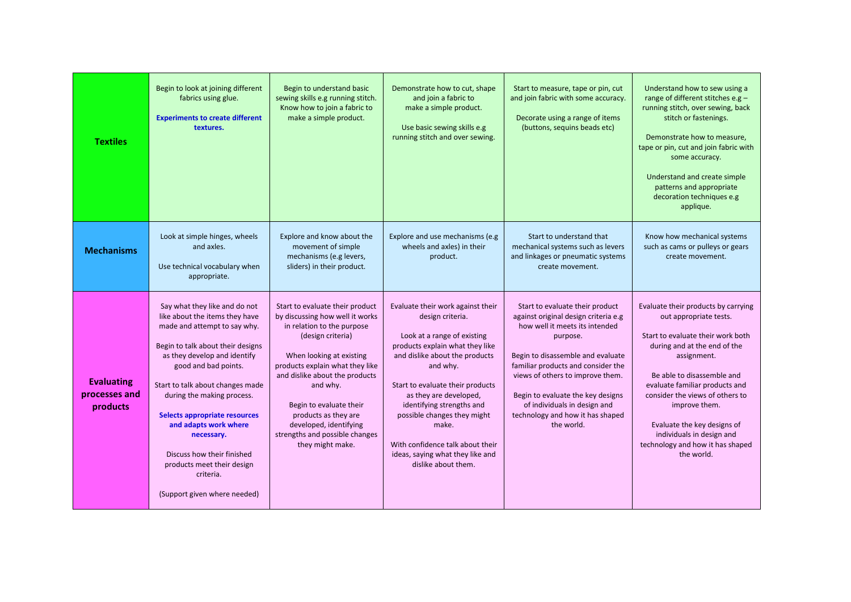| <b>Textiles</b>                                | Begin to look at joining different<br>fabrics using glue.<br><b>Experiments to create different</b><br>textures.                                                                                                                                                                                                                                                                                                                                | Begin to understand basic<br>sewing skills e.g running stitch.<br>Know how to join a fabric to<br>make a simple product.                                                                                                                                                                                                                                              | Demonstrate how to cut, shape<br>and join a fabric to<br>make a simple product.<br>Use basic sewing skills e.g<br>running stitch and over sewing.                                                                                                                                                                                                                                                       | Start to measure, tape or pin, cut<br>and join fabric with some accuracy.<br>Decorate using a range of items<br>(buttons, sequins beads etc)                                                                                                                                                                                                                | Understand how to sew using a<br>range of different stitches e.g -<br>running stitch, over sewing, back<br>stitch or fastenings.<br>Demonstrate how to measure,<br>tape or pin, cut and join fabric with<br>some accuracy.<br>Understand and create simple<br>patterns and appropriate<br>decoration techniques e.g<br>applique.                                                    |
|------------------------------------------------|-------------------------------------------------------------------------------------------------------------------------------------------------------------------------------------------------------------------------------------------------------------------------------------------------------------------------------------------------------------------------------------------------------------------------------------------------|-----------------------------------------------------------------------------------------------------------------------------------------------------------------------------------------------------------------------------------------------------------------------------------------------------------------------------------------------------------------------|---------------------------------------------------------------------------------------------------------------------------------------------------------------------------------------------------------------------------------------------------------------------------------------------------------------------------------------------------------------------------------------------------------|-------------------------------------------------------------------------------------------------------------------------------------------------------------------------------------------------------------------------------------------------------------------------------------------------------------------------------------------------------------|-------------------------------------------------------------------------------------------------------------------------------------------------------------------------------------------------------------------------------------------------------------------------------------------------------------------------------------------------------------------------------------|
| <b>Mechanisms</b>                              | Look at simple hinges, wheels<br>and axles.<br>Use technical vocabulary when<br>appropriate.                                                                                                                                                                                                                                                                                                                                                    | Explore and know about the<br>movement of simple<br>mechanisms (e.g levers,<br>sliders) in their product.                                                                                                                                                                                                                                                             | Explore and use mechanisms (e.g.<br>wheels and axles) in their<br>product.                                                                                                                                                                                                                                                                                                                              | Start to understand that<br>mechanical systems such as levers<br>and linkages or pneumatic systems<br>create movement.                                                                                                                                                                                                                                      | Know how mechanical systems<br>such as cams or pulleys or gears<br>create movement.                                                                                                                                                                                                                                                                                                 |
| <b>Evaluating</b><br>processes and<br>products | Say what they like and do not<br>like about the items they have<br>made and attempt to say why.<br>Begin to talk about their designs<br>as they develop and identify<br>good and bad points.<br>Start to talk about changes made<br>during the making process.<br>Selects appropriate resources<br>and adapts work where<br>necessary.<br>Discuss how their finished<br>products meet their design<br>criteria.<br>(Support given where needed) | Start to evaluate their product<br>by discussing how well it works<br>in relation to the purpose<br>(design criteria)<br>When looking at existing<br>products explain what they like<br>and dislike about the products<br>and why.<br>Begin to evaluate their<br>products as they are<br>developed, identifying<br>strengths and possible changes<br>they might make. | Evaluate their work against their<br>design criteria.<br>Look at a range of existing<br>products explain what they like<br>and dislike about the products<br>and why.<br>Start to evaluate their products<br>as they are developed,<br>identifying strengths and<br>possible changes they might<br>make.<br>With confidence talk about their<br>ideas, saying what they like and<br>dislike about them. | Start to evaluate their product<br>against original design criteria e.g<br>how well it meets its intended<br>purpose.<br>Begin to disassemble and evaluate<br>familiar products and consider the<br>views of others to improve them.<br>Begin to evaluate the key designs<br>of individuals in design and<br>technology and how it has shaped<br>the world. | Evaluate their products by carrying<br>out appropriate tests.<br>Start to evaluate their work both<br>during and at the end of the<br>assignment.<br>Be able to disassemble and<br>evaluate familiar products and<br>consider the views of others to<br>improve them.<br>Evaluate the key designs of<br>individuals in design and<br>technology and how it has shaped<br>the world. |